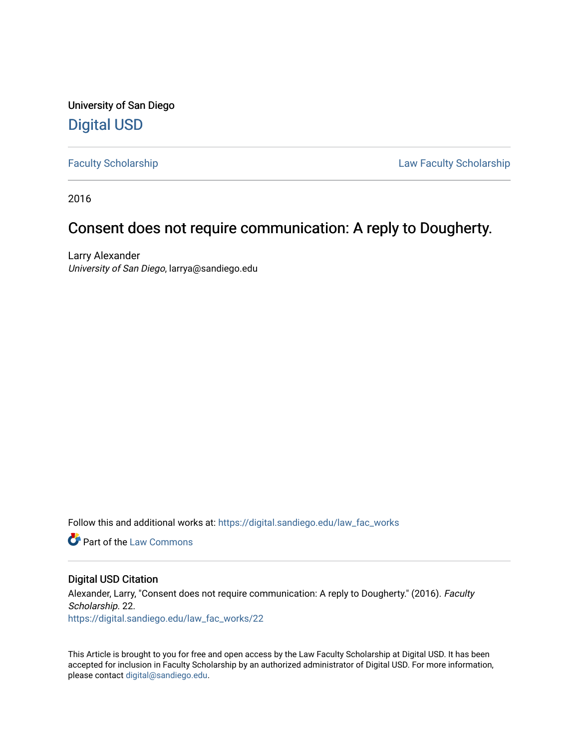University of San Diego [Digital USD](https://digital.sandiego.edu/)

[Faculty Scholarship](https://digital.sandiego.edu/law_fac_works) **Example 2018** Law Faculty Scholarship

2016

# Consent does not require communication: A reply to Dougherty.

Larry Alexander University of San Diego, larrya@sandiego.edu

Follow this and additional works at: [https://digital.sandiego.edu/law\\_fac\\_works](https://digital.sandiego.edu/law_fac_works?utm_source=digital.sandiego.edu%2Flaw_fac_works%2F22&utm_medium=PDF&utm_campaign=PDFCoverPages) 

**C** Part of the [Law Commons](http://network.bepress.com/hgg/discipline/578?utm_source=digital.sandiego.edu%2Flaw_fac_works%2F22&utm_medium=PDF&utm_campaign=PDFCoverPages)

# Digital USD Citation

Alexander, Larry, "Consent does not require communication: A reply to Dougherty." (2016). Faculty Scholarship. 22. [https://digital.sandiego.edu/law\\_fac\\_works/22](https://digital.sandiego.edu/law_fac_works/22?utm_source=digital.sandiego.edu%2Flaw_fac_works%2F22&utm_medium=PDF&utm_campaign=PDFCoverPages) 

This Article is brought to you for free and open access by the Law Faculty Scholarship at Digital USD. It has been accepted for inclusion in Faculty Scholarship by an authorized administrator of Digital USD. For more information, please contact [digital@sandiego.edu.](mailto:digital@sandiego.edu)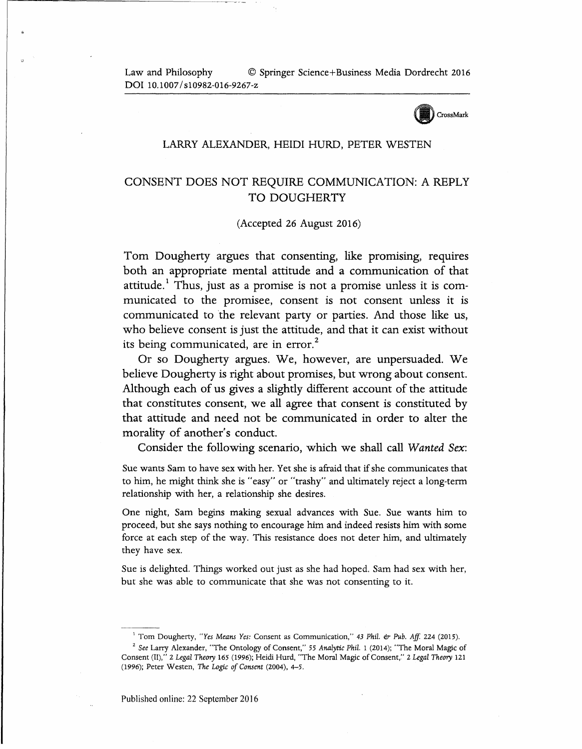Law and Philosophy © Springer Science+Business Media Dordrecht 2016 DOI 10.1007/s10982-016-9267-z



## LARRY ALEXANDER, HEIDI HURD, PETER WESTEN

# CONSENT DOES NOT REQUIRE COMMUNICATION: A REPLY TO DOUGHERTY

(Accepted 26 August 2016)

Tom Dougherty argues that consenting, like promising, requires both an appropriate mental attitude and a communication of that attitude.<sup>1</sup> Thus, just as a promise is not a promise unless it is communicated to the promisee, consent is not consent unless it is communicated to 'the relevant party or parties. And those like us, who believe consent is just the attitude, and that it can exist without its being communicated, are in error.<sup>2</sup>

Or so Dougherty argues. We, however, are unpersuaded. We believe Dougherty is right about promises, but wrong about consent. Although each of us gives a slightly different account of the attitude that constitutes consent, we all agree that consent is constituted by that attitude and need not be communicated in order to alter the morality of another's conduct.

Consider the following scenario, which we shall call *Wanted Sex:* 

Sue wants Sam to have sex with her. Yet she is afraid that if she communicates that to him, he might think she is "easy" or "trashy" and ultimately reject a long-term relationship with her, a relationship she desires.

One night, Sam begins making sexual advances with Sue. Sue wants him to proceed, but she says nothing to encourage him and indeed resists him with some force at each step of the way. This resistance does not deter him, and ultimately they have sex.

Sue is delighted. Things worked out just as she had hoped. Sam had sex with her, but she was able to communicate that she was not consenting to it.

<sup>&</sup>lt;sup>1</sup> Tom Dougherty, "Yes Means Yes: Consent as Communication," 43 Phil. & Pub. Aff. 224 (2015).

<sup>2</sup>*See* Larry Alexander, "The Ontology of Consent," *55 Analytic Phil.* 1 (2014); "The Moral Magic of Consent (II)," 2 Legal Theory 165 (1996); Heidi Hurd, "The Moral Magic of Consent," 2 Legal Theory 121 (1996); Peter Westen, *The Logic of Consent* (2004), 4-5.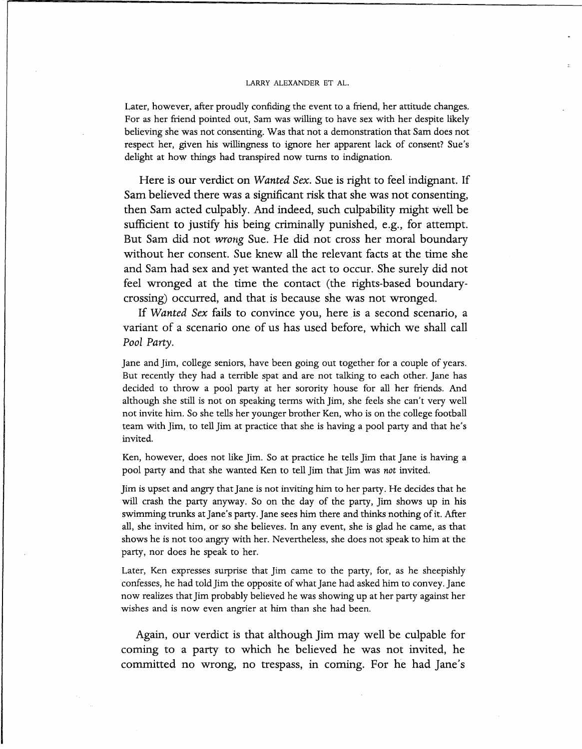#### LARRY ALEXANDER ET AL.

Later, however, after proudly confiding the event to a friend, her attitude changes. For as her friend pointed out, Sam was willing to have sex with her despite likely believing she was not consenting. Was that not a demonstration that Sam does not respect her, given his willingness to ignore her apparent lack of consent? Sue's delight at how things had transpired now turns to indignation.

Here is our verdict on *Wanted Sex.* Sue is right to feel indignant. If Sam believed there was a significant risk that she was not consenting, then Sam acted culpably. And indeed, such culpability might well be sufficient to justify his being criminally punished, e.g., for attempt. But Sam did not *wrong* Sue. He did not cross her moral boundary without her consent. Sue knew all the relevant facts at the time she and Sam had sex and yet wanted the act to occur. She surely did not feel wronged at the time the contact (the rights-based boundarycrossing) occurred, and that is because she was not wronged.

If *Wanted Sex* fails to convince you, here is a second scenario, a variant of a scenario one of us has used before, which we shall call *Pool Party.* 

Jane and Jim, college seniors, have been going out together for a couple of years. But recently they had a terrible spat and are not talking to each other. Jane has decided to throw a pool party at her sorority house for all her friends. And although she still is not on speaking terms with Jim, she feels she can't very well not invite him. So she tells her younger brother Ken, who is on the college football team with Jim, to tell Jim at practice that she is having a pool party and that he's invited.

Ken, however, does not like Jim. So at practice he tells Jim that Jane is having a pool party and that she wanted Ken to tell Jim that Jim was *not* invited.

Jim is upset and angry that Jane is not inviting him to her party. He decides that he will crash the party anyway. So on the day of the party, Jim shows up in his swimming trunks at Jane's party. Jane sees him there and thinks nothing of it. After all, she invited him, or so she believes. In any event, she is glad he came, as that shows he is not too angry with her. Nevertheless, she does not speak to him at the party, nor does he speak to her.

Later, Ken expresses surprise that Jim came to the party, for, as he sheepishly confesses, he had told Jim the opposite of what Jane had asked him to convey. Jane now realizes that Jim probably believed he was showing up at her party against her wishes and is now even angrier at him than she had been.

Again, our verdict is that although Jim may well be culpable for coming to a party to which he believed he was not invited, he committed no wrong, no trespass, in coming. For he had Jane's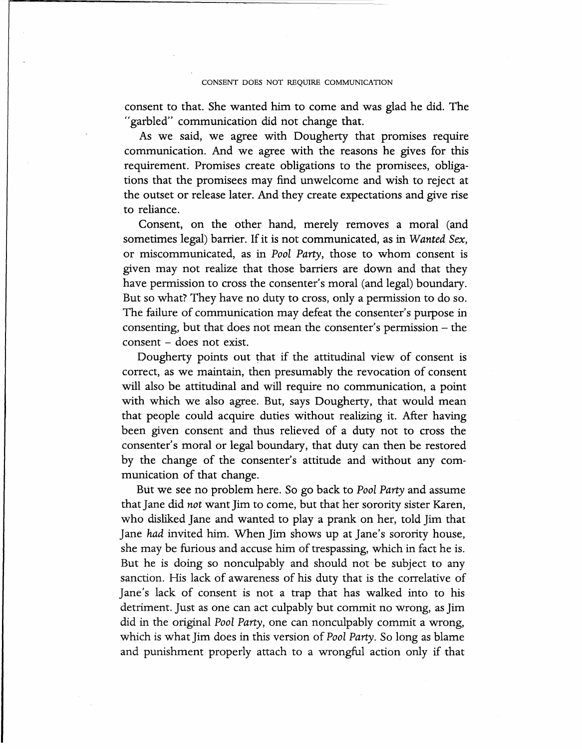consent to that. She wanted him to come and was glad he did. The "garbled" communication did not change that.

As we said, we agree with Dougherty that promises require communication. And we agree with the reasons he gives for this requirement. Promises create obligations to the promisees, obligations that the promisees may find unwelcome and wish to reject at the outset or release later. And they create expectations and give rise to reliance.

Consent, on the other hand, merely removes a moral (and sometimes legal) barrier. If it is not communicated, as in *Wanted Sex,*  or miscommunicated, as in *Pool Party,* those to whom consent is given may not realize that those barriers are down and that they have permission to cross the consenter's moral (and legal) boundary. But so what? They have no duty to cross, only a permission to do so. The failure of communication may defeat the consenter's purpose in consenting, but that does not mean the consenter's permission - the consent - does not exist.

Dougherty points out that if the attitudinal view of consent is correct, as we maintain, then presumably the revocation of consent will also be attitudinal and will require no communication, a point with which we also agree. But, says Dougherty, that would mean that people could acquire duties without realizing it. After having been given consent and thus relieved of a duty not to cross the consenter's moral or legal boundary, that duty can then be restored by the change of the consenter's attitude and without any communication of that change.

But we see no problem here. So go back to *Pool Party* and assume that Jane did *not* want Jim to come, but that her sorority sister Karen, who disliked Jane and wanted to play a prank on her, told Jim that Jane *had* invited him. When Jim shows up at Jane's sorority house, she may be furious and accuse him of trespassing, which in fact he is. But he is doing so nonculpably and should not be subject to any sanction. His lack of awareness of his duty that is the correlative of Jane's lack of consent is not a trap that has walked into to his detriment. Just as one can act culpably but commit no wrong, as Jim did in the original *Pool Party,* one can nonculpably commit a wrong, which is what Jim does in this version of *Pool Party.* So long as blame and punishment properly attach to a wrongful action only if that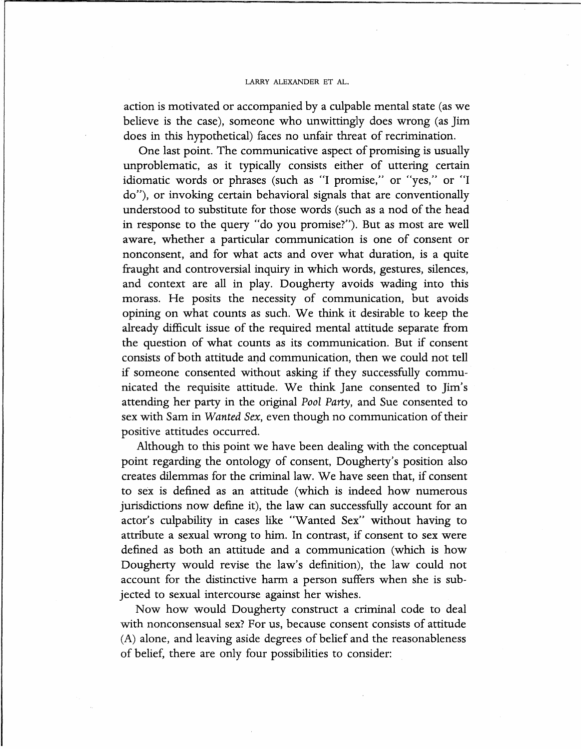#### LARRY ALEXANDER ET AL.

action is motivated or accompanied by a culpable mental state (as we believe is the case), someone who unwittingly does wrong (as Jim does in this hypothetical) faces no unfair threat of recrimination.

One last point. The communicative aspect of promising is usually unproblematic, as it typically consists either of uttering certain idiomatic words or phrases (such as "I promise," or "yes," or "I do"), or invoking certain behavioral signals that are conventionally understood to substitute for those words (such as a nod of the head in response to the query "do you promise?"). But as most are well aware, whether a particular communication is one of consent or nonconsent, and for what acts and over what duration, is a quite fraught and controversial inquiry in which words, gestures, silences, and context are all in play. Dougherty avoids wading into this morass. He posits the necessity of communication, but avoids opining on what counts as such. We think it desirable to keep the already difficult issue of the required mental attitude separate from the question of what counts as its communication. But if consent consists of both attitude and communication, then we could not tell if someone consented without asking if they successfully communicated the requisite attitude. We think Jane consented to Jim's attending her party in the original *Pool Party,* and Sue consented to sex with Sam in *Wanted Sex,* even though no communication of their positive attitudes occurred.

Although to this point we have been dealing with the conceptual point regarding the ontology of consent, Dougherty's position also creates dilemmas for the criminal law. We have seen that, if consent to sex is defined as an attitude (which is indeed how numerous jurisdictions now define it), the law can successfully account for an actor's culpability in cases like "Wanted Sex" without having to attribute a sexual wrong to him. In contrast, if consent to sex were defined as both an attitude and a communication (which is how Dougherty would revise the law's definition), the law could not account for the distinctive harm a person suffers when she is subjected to sexual intercourse against her wishes.

Now how would Dougherty construct a criminal code to deal with nonconsensual sex? For us, because consent consists of attitude (A) alone, and leaving aside degrees of belief and the reasonableness of belief, there are only four possibilities to consider: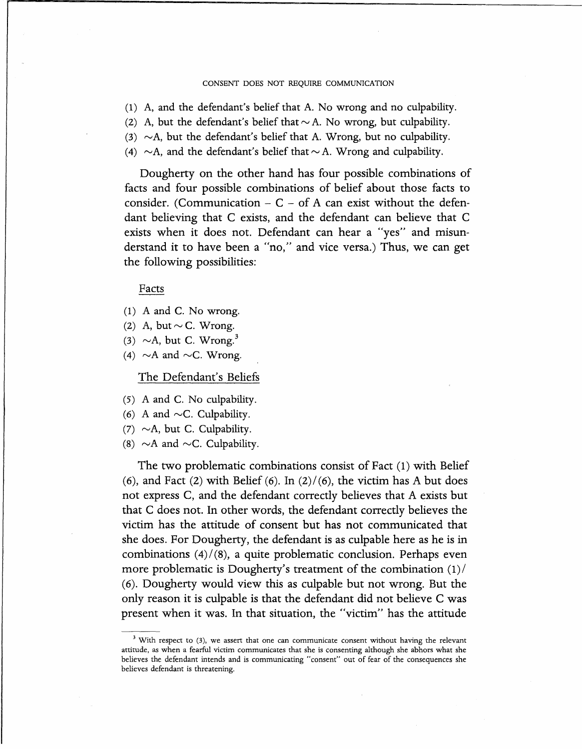#### CONSENT DOES NOT REQUIRE COMMUNICATION

- (1) A, and the defendant's belief that A. No wrong and no culpability.
- (2) A, but the defendant's belief that  $\sim A$ . No wrong, but culpability.
- (3)  $\sim$  A, but the defendant's belief that A. Wrong, but no culpability.
- (4)  $\sim$  A, and the defendant's belief that  $\sim$  A. Wrong and culpability.

Dougherty on the other hand has four possible combinations of facts and four possible combinations of belief about those facts to consider. (Communication  $- C -$  of A can exist without the defendant believing that C exists, and the defendant can believe that C exists when it does not. Defendant can hear a "yes" and misunderstand it to have been a "no," and vice versa.) Thus, we can get the following possibilities:

### Facts

- (1) A and C. No wrong.
- (2) A, but  $\sim$  C. Wrong.
- (3)  $\sim$  A, but C. Wrong.<sup>3</sup>
- (4)  $\sim$  A and  $\sim$  C. Wrong.

The Defendant's Beliefs

- (5) A and C. No culpability.
- (6) A and  $\sim$  C. Culpability.
- (7)  $\sim$  A, but C. Culpability.
- (8)  $\sim$ A and  $\sim$ C. Culpability.

The two problematic combinations consist of Fact (1) with Belief (6), and Fact (2) with Belief (6). In  $(2)/(6)$ , the victim has A but does not express C, and the defendant correctly believes that A exists but that C does not. In other words, the defendant correctly believes the victim has the attitude of consent but has not communicated that she does. For Dougherty, the defendant is as culpable here as he is in combinations (4)/(8), a quite problematic conclusion. Perhaps even more problematic is Dougherty's treatment of the combination (1)/ (6). Dougherty would view this as culpable but not wrong. But the only reason it is culpable is that the defendant did not believe C was present when it was. In that situation, the "victim" has the attitude

<sup>&</sup>lt;sup>3</sup> With respect to (3), we assert that one can communicate consent without having the relevant attitude, as when a fearful victim communicates that she is consenting although she abhors what she believes the defendant intends and is communicating "consent" out of fear of the consequences she believes defendant is threatening.